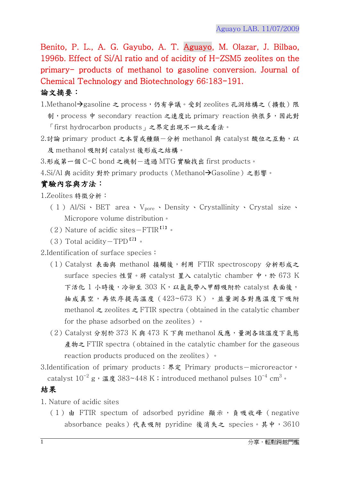Benito, P. L., A. G. Gayubo, A. T. Aguayo, M. Olazar, J. Bilbao, 1996b. Effect of Si/Al ratio and of acidity of H-ZSM5 zeolites on the primary- products of methanol to gasoline conversion. Journal of Chemical Technology and Biotechnology 66:183-191.

## 論文摘要:

- 1.Methanol-gasoline 之 process,仍有爭議。受到 zeolites 孔洞結構之(擴散)限 制, process 中 secondary reaction 之速度比 primary reaction 快很多,因此對 「first hydrocarbon products」之界定出現不一致之看法。
- 2.討論 primary product 之本質或種類一分析 methanol 與 catalyst 酸位之互動,以 及 methanol 吸附到 catalyst 後形成之結構。

3.形成第一個 C-C bond 之機制-透過 MTG 實驗找出 first products。

4. Si/Al 與 acidity 對於 primary products (Methanol→Gasoline) 之影響。

## 實驗內容與方法:

1.Zeolites 特徵分析:

- ( 1 ) Al/Si 、 BET area 、 V<sub>pore</sub> 、 Density 、 Crystallinity 、 Crystal size 、 Micropore volume distribution。
- (2) Nature of acidic sites $-FTIR$ <sup>[1]</sup>.
- (3) Total acidity $-\text{TPD}^{\{2\}}$ .

2.Identification of surface species:

- (1)Catalyst 表面與 methanol 接觸後,利用 FTIR spectroscopy 分析形成之 surface species 性質。將 catalyst 置入 catalytic chamber 中,於 673 K 下活化 1 小時後,冷卻至 303 K,以氩氣帶入甲醇吸附於 catalyst 表面後, 抽成真空,再依序提高溫度 (423~673 K),並量測各對應溫度下吸附 methanol  $\geq$  zeolites  $\geq$  FTIR spectra (obtained in the catalytic chamber for the phase adsorbed on the zeolites)。
- $(2)$  Catalyst 分別於 373 K 與 473 K 下與 methanol 反應,量測各該溫度下氣態 産物之 FTIR spectra (obtained in the catalytic chamber for the gaseous reaction products produced on the zeolites)。
- 3.Identification of primary products: 界定 Primary products-microreactor, catalyst  $10^{-2}$  g,溫度 383~448 K;introduced methanol pulses  $10^{-4}$  cm $^3$ 。

## 結果

- 1. Nature of acidic sites
	- (1) 由 FTIR spectum of adsorbed pyridine 顯示, 負吸收峰 (negative absorbance peaks)代表吸附 pyridine 後消失之 species。其中,3610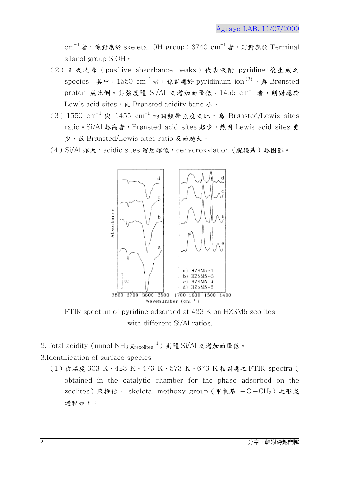$cm^{-1}$ 者,係對應於 skeletal OH group;3740  $cm^{-1}$ 者,則對應於 Terminal silanol group SiOH。

- (2)正吸收峰(positive absorbance peaks)代表吸附 pyridine 後生成之 species。其中,1550 cm $^{-1}$ 者,係對應於 pyridinium ion $^{\text{I3I}}$ ,與 Brønsted proton 成比例。其強度隨 Si/Al 之增加而降低。 $1455$  cm $^{-1}$  者,則對應於 Lewis acid sites, k Brønsted acidity band 小。
- $(3)1550 \text{ cm}^{-1}$  與  $1455 \text{ cm}^{-1}$  兩個頻帶強度之比,為 Brønsted/Lewis sites ratio。Si/Al 越高者, Brønsted acid sites 越少, 然因 Lewis acid sites 更 少,故 Brønsted/Lewis sites ratio 反而越大。
- (4) Si/Al 越大, acidic sites 密度越低, dehydroxylation (脫羥基)越困難。



FTIR spectum of pyridine adsorbed at 423 K on HZSM5 zeolites with different Si/Al ratios.

2.Total acidity (mmol NH<sub>3</sub> g<sub>rezolites</sub><sup>-1</sup>) 則隨 Si/Al 之增加而降低。

3.Identification of surface species

(1)從溫度 303 K、423 K、473 K、573 K、673 K 相對應之 FTIR spectra( obtained in the catalytic chamber for the phase adsorbed on the zeolites)來推估, skeletal methoxy group (甲氧基  $-O-CH_3$ ) 之形成 過程如下: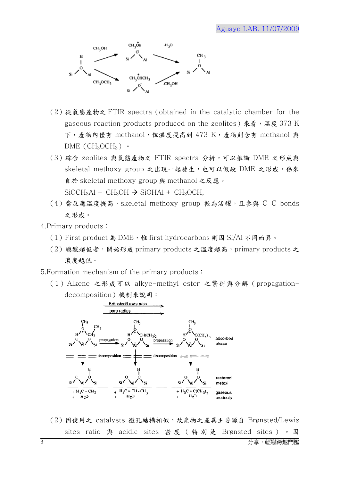

- (2) 從氣態產物之 FTIR spectra (obtained in the catalytic chamber for the gaseous reaction products produced on the zeolites) 來看,溫度 373 K 下,產物內僅有 methanol,但溫度提高到 473 K,產物則含有 methanol 與  $DME$  (CH<sub>3</sub>OCH<sub>3</sub>)  $\cdot$
- (3)綜合 zeolites 與氣態產物之 FTIR spectra 分析,可以推論 DME 之形成與 skeletal methoxy group 之出現一起發生,也可以假設 DME 之形成,係來 自於 skeletal methoxy group 與 methanol 之反應。  $SiOCH<sub>3</sub>Al + CH<sub>3</sub>OH \rightarrow SiOHAl + CH<sub>3</sub>OCH,$
- (4)當反應溫度提高,skeletal methoxy group 較為活耀,且參與 C-C bonds 之形成。
- 4.Primary products:
	- (1) First product 為 DME, 惟 first hydrocarbons 則因 Si/Al 不同而異。
	- (2)總酸越低者,開始形成 primary products 之溫度越高, primary products 之 濃度越低。
- 5.Formation mechanism of the primary products:
	- (1)Alkene 之形成可以 alkye-methyl ester 之繁衍與分解(propagationdecomposition)機制來說明:



(2)因使用之 catalysts 微孔結構相似,故產物之差異主要源自 Brønsted/Lewis sites ratio 與 acidic sites 密度 (特別是 Brønsted sites) 。因